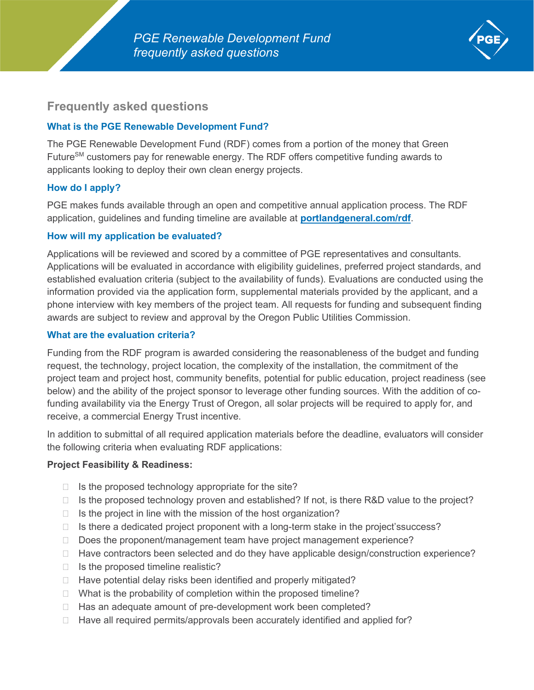

# **Frequently asked questions**

## **What is the PGE Renewable Development Fund?**

The PGE Renewable Development Fund (RDF) comes from a portion of the money that Green Future<sup>SM</sup> customers pay for renewable energy. The RDF offers competitive funding awards to applicants looking to deploy their own clean energy projects.

# **How do I apply?**

PGE makes funds available through an open and competitive annual application process. The RDF application, guidelines and funding timeline are available at **[portlandgeneral.com/rdf](http://www.portlandgeneral.com/rdf)**.

### **How will my application be evaluated?**

Applications will be reviewed and scored by a committee of PGE representatives and consultants. Applications will be evaluated in accordance with eligibility guidelines, preferred project standards, and established evaluation criteria (subject to the availability of funds). Evaluations are conducted using the information provided via the application form, supplemental materials provided by the applicant, and a phone interview with key members of the project team. All requests for funding and subsequent finding awards are subject to review and approval by the Oregon Public Utilities Commission.

### **What are the evaluation criteria?**

Funding from the RDF program is awarded considering the reasonableness of the budget and funding request, the technology, project location, the complexity of the installation, the commitment of the project team and project host, community benefits, potential for public education, project readiness (see below) and the ability of the project sponsor to leverage other funding sources. With the addition of cofunding availability via the Energy Trust of Oregon, all solar projects will be required to apply for, and receive, a commercial Energy Trust incentive.

In addition to submittal of all required application materials before the deadline, evaluators will consider the following criteria when evaluating RDF applications:

### **Project Feasibility & Readiness:**

- $\Box$  Is the proposed technology appropriate for the site?
- $\Box$  Is the proposed technology proven and established? If not, is there R&D value to the project?
- $\Box$  Is the project in line with the mission of the host organization?
- $\Box$  Is there a dedicated project proponent with a long-term stake in the project's success?
- $\Box$  Does the proponent/management team have project management experience?
- $\Box$  Have contractors been selected and do they have applicable design/construction experience?
- $\Box$  Is the proposed timeline realistic?
- $\Box$  Have potential delay risks been identified and properly mitigated?
- $\Box$  What is the probability of completion within the proposed timeline?
- $\Box$  Has an adequate amount of pre-development work been completed?
- $\Box$  Have all required permits/approvals been accurately identified and applied for?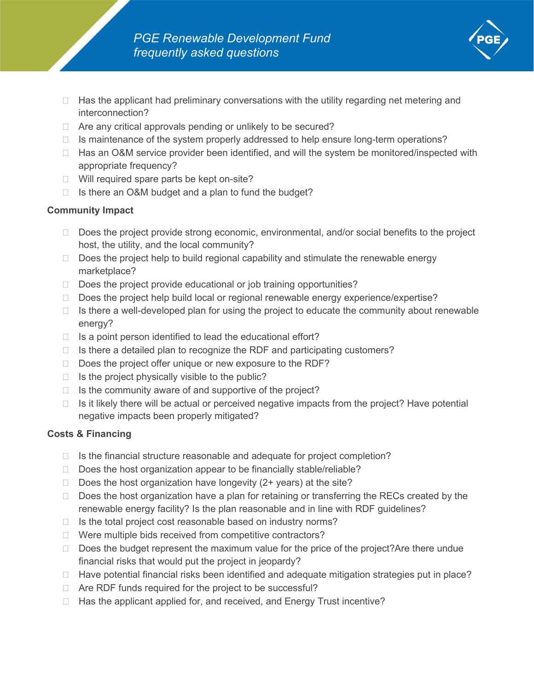- $\Box$  Has the applicant had preliminary conversations with the utility regarding net metering and interconnection?
- $\Box$  Are any critical approvals pending or unlikely to be secured?
- $\Box$  Is maintenance of the system properly addressed to help ensure long-term operations?
- □ Has an O&M service provider been identified, and will the system be monitored/inspected with appropriate frequency?
- □ Will required spare parts be kept on-site?
- $\Box$  Is there an O&M budget and a plan to fund the budget?

# **Community Impact**

- $\Box$  Does the project provide strong economic, environmental, and/or social benefits to the project host, the utility, and the local community?
- $\Box$  Does the project help to build regional capability and stimulate the renewable energy marketplace?
- $\Box$  Does the project provide educational or job training opportunities?
- $\Box$  Does the project help build local or regional renewable energy experience/expertise?
- $\Box$  Is there a well-developed plan for using the project to educate the community about renewable energy?
- $\Box$  Is a point person identified to lead the educational effort?
- $\Box$  Is there a detailed plan to recognize the RDF and participating customers?
- $\Box$  Does the project offer unique or new exposure to the RDF?
- $\Box$  Is the project physically visible to the public?
- $\Box$  Is the community aware of and supportive of the project?
- $\Box$  Is it likely there will be actual or perceived negative impacts from the project? Have potential negative impacts been properly mitigated?

# **Costs & Financing**

- $\Box$  Is the financial structure reasonable and adequate for project completion?
- $\Box$  Does the host organization appear to be financially stable/reliable?
- $\Box$  Does the host organization have longevity (2+ years) at the site?
- $\Box$  Does the host organization have a plan for retaining or transferring the RECs created by the renewable energy facility? Is the plan reasonable and in line with RDF guidelines?
- $\Box$  Is the total project cost reasonable based on industry norms?
- □ Were multiple bids received from competitive contractors?
- $\Box$  Does the budget represent the maximum value for the price of the project? Are there undue financial risks that would put the project in jeopardy?
- □ Have potential financial risks been identified and adequate mitigation strategies put in place?
- □ Are RDF funds required for the project to be successful?
- $\Box$  Has the applicant applied for, and received, and Energy Trust incentive?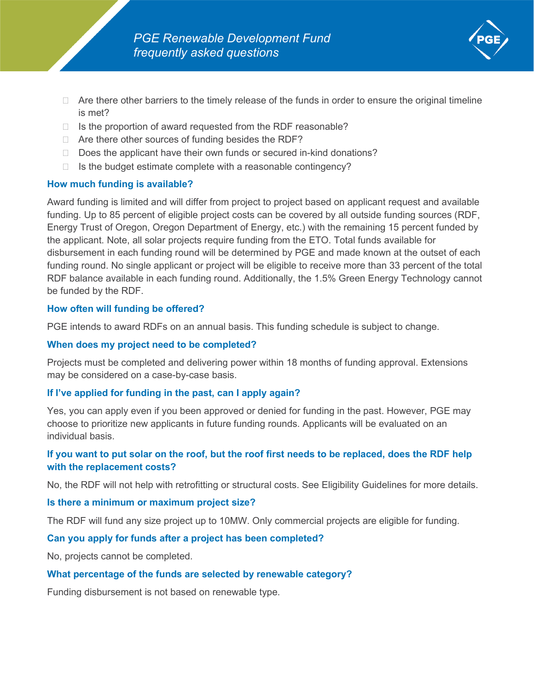- $\Box$  Are there other barriers to the timely release of the funds in order to ensure the original timeline is met?
- $\Box$  Is the proportion of award requested from the RDF reasonable?
- $\Box$  Are there other sources of funding besides the RDF?
- $\Box$  Does the applicant have their own funds or secured in-kind donations?
- $\Box$  Is the budget estimate complete with a reasonable contingency?

## **How much funding is available?**

Award funding is limited and will differ from project to project based on applicant request and available funding. Up to 85 percent of eligible project costs can be covered by all outside funding sources (RDF, Energy Trust of Oregon, Oregon Department of Energy, etc.) with the remaining 15 percent funded by the applicant. Note, all solar projects require funding from the ETO. Total funds available for disbursement in each funding round will be determined by PGE and made known at the outset of each funding round. No single applicant or project will be eligible to receive more than 33 percent of the total RDF balance available in each funding round. Additionally, the 1.5% Green Energy Technology cannot be funded by the RDF.

## **How often will funding be offered?**

PGE intends to award RDFs on an annual basis. This funding schedule is subject to change.

### **When does my project need to be completed?**

Projects must be completed and delivering power within 18 months of funding approval. Extensions may be considered on a case-by-case basis.

### **If I've applied for funding in the past, can I apply again?**

Yes, you can apply even if you been approved or denied for funding in the past. However, PGE may choose to prioritize new applicants in future funding rounds. Applicants will be evaluated on an individual basis.

# **If you want to put solar on the roof, but the roof first needs to be replaced, does the RDF help with the replacement costs?**

No, the RDF will not help with retrofitting or structural costs. See Eligibility Guidelines for more details.

### **Is there a minimum or maximum project size?**

The RDF will fund any size project up to 10MW. Only commercial projects are eligible for funding.

### **Can you apply for funds after a project has been completed?**

No, projects cannot be completed.

### **What percentage of the funds are selected by renewable category?**

Funding disbursement is not based on renewable type.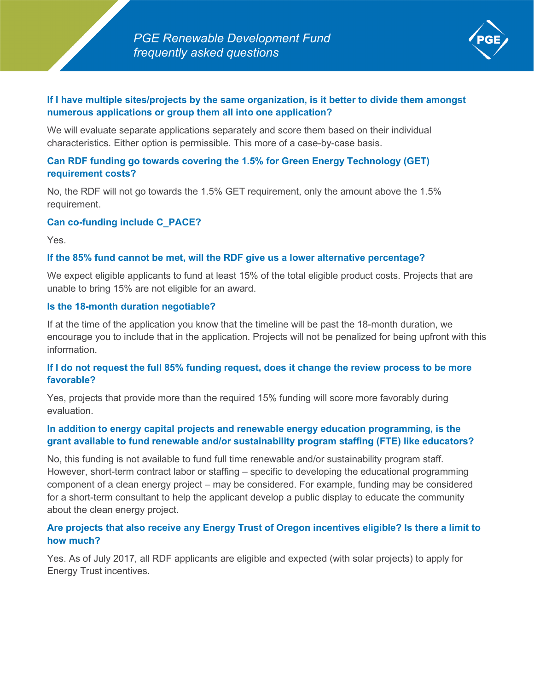

## **If I have multiple sites/projects by the same organization, is it better to divide them amongst numerous applications or group them all into one application?**

We will evaluate separate applications separately and score them based on their individual characteristics. Either option is permissible. This more of a case-by-case basis.

## **Can RDF funding go towards covering the 1.5% for Green Energy Technology (GET) requirement costs?**

No, the RDF will not go towards the 1.5% GET requirement, only the amount above the 1.5% requirement.

## **Can co-funding include C\_PACE?**

Yes.

## **If the 85% fund cannot be met, will the RDF give us a lower alternative percentage?**

We expect eligible applicants to fund at least 15% of the total eligible product costs. Projects that are unable to bring 15% are not eligible for an award.

### **Is the 18-month duration negotiable?**

If at the time of the application you know that the timeline will be past the 18-month duration, we encourage you to include that in the application. Projects will not be penalized for being upfront with this information.

## **If I do not request the full 85% funding request, does it change the review process to be more favorable?**

Yes, projects that provide more than the required 15% funding will score more favorably during evaluation.

## **In addition to energy capital projects and renewable energy education programming, is the grant available to fund renewable and/or sustainability program staffing (FTE) like educators?**

No, this funding is not available to fund full time renewable and/or sustainability program staff. However, short-term contract labor or staffing – specific to developing the educational programming component of a clean energy project – may be considered. For example, funding may be considered for a short-term consultant to help the applicant develop a public display to educate the community about the clean energy project.

## **Are projects that also receive any Energy Trust of Oregon incentives eligible? Is there a limit to how much?**

Yes. As of July 2017, all RDF applicants are eligible and expected (with solar projects) to apply for Energy Trust incentives.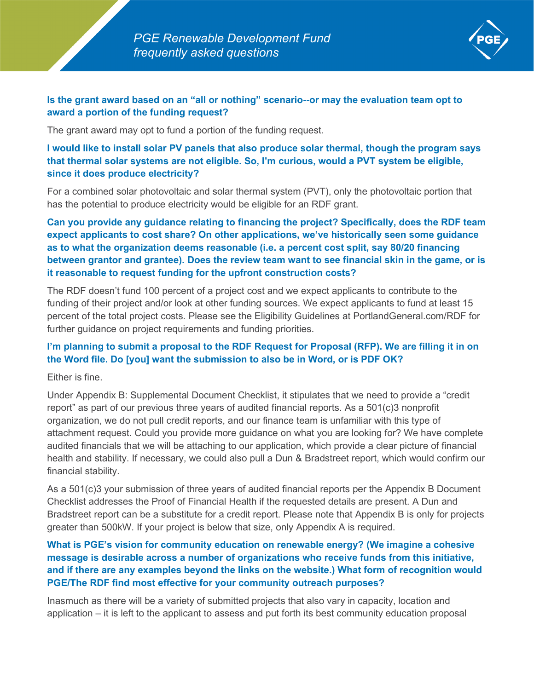

## **Is the grant award based on an "all or nothing" scenario--or may the evaluation team opt to award a portion of the funding request?**

The grant award may opt to fund a portion of the funding request.

**I would like to install solar PV panels that also produce solar thermal, though the program says that thermal solar systems are not eligible. So, I'm curious, would a PVT system be eligible, since it does produce electricity?**

For a combined solar photovoltaic and solar thermal system (PVT), only the photovoltaic portion that has the potential to produce electricity would be eligible for an RDF grant.

**Can you provide any guidance relating to financing the project? Specifically, does the RDF team expect applicants to cost share? On other applications, we've historically seen some guidance as to what the organization deems reasonable (i.e. a percent cost split, say 80/20 financing between grantor and grantee). Does the review team want to see financial skin in the game, or is it reasonable to request funding for the upfront construction costs?**

The RDF doesn't fund 100 percent of a project cost and we expect applicants to contribute to the funding of their project and/or look at other funding sources. We expect applicants to fund at least 15 percent of the total project costs. Please see the Eligibility Guidelines at PortlandGeneral.com/RDF for further guidance on project requirements and funding priorities.

# **I'm planning to submit a proposal to the RDF Request for Proposal (RFP). We are filling it in on the Word file. Do [you] want the submission to also be in Word, or is PDF OK?**

Either is fine.

Under Appendix B: Supplemental Document Checklist, it stipulates that we need to provide a "credit report" as part of our previous three years of audited financial reports. As a 501(c)3 nonprofit organization, we do not pull credit reports, and our finance team is unfamiliar with this type of attachment request. Could you provide more guidance on what you are looking for? We have complete audited financials that we will be attaching to our application, which provide a clear picture of financial health and stability. If necessary, we could also pull a Dun & Bradstreet report, which would confirm our financial stability.

As a 501(c)3 your submission of three years of audited financial reports per the Appendix B Document Checklist addresses the Proof of Financial Health if the requested details are present. A Dun and Bradstreet report can be a substitute for a credit report. Please note that Appendix B is only for projects greater than 500kW. If your project is below that size, only Appendix A is required.

# **What is PGE's vision for community education on renewable energy? (We imagine a cohesive message is desirable across a number of organizations who receive funds from this initiative, and if there are any examples beyond the links on the website.) What form of recognition would PGE/The RDF find most effective for your community outreach purposes?**

Inasmuch as there will be a variety of submitted projects that also vary in capacity, location and application – it is left to the applicant to assess and put forth its best community education proposal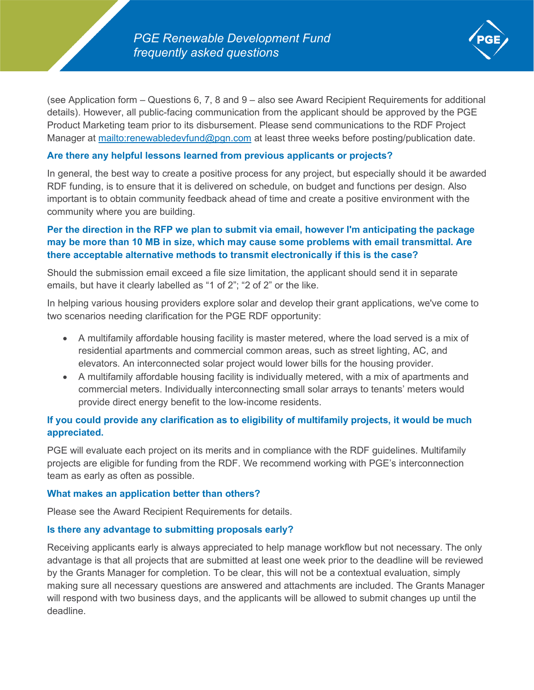

(see Application form – Questions 6, 7, 8 and 9 – also see Award Recipient Requirements for additional details). However, all public-facing communication from the applicant should be approved by the PGE Product Marketing team prior to its disbursement. Please send communications to the RDF Project Manager at<mailto:renewabledevfund@pgn.com> at least three weeks before posting/publication date.

### **Are there any helpful lessons learned from previous applicants or projects?**

In general, the best way to create a positive process for any project, but especially should it be awarded RDF funding, is to ensure that it is delivered on schedule, on budget and functions per design. Also important is to obtain community feedback ahead of time and create a positive environment with the community where you are building.

# **Per the direction in the RFP we plan to submit via email, however I'm anticipating the package may be more than 10 MB in size, which may cause some problems with email transmittal. Are there acceptable alternative methods to transmit electronically if this is the case?**

Should the submission email exceed a file size limitation, the applicant should send it in separate emails, but have it clearly labelled as "1 of 2"; "2 of 2" or the like.

In helping various housing providers explore solar and develop their grant applications, we've come to two scenarios needing clarification for the PGE RDF opportunity:

- A multifamily affordable housing facility is master metered, where the load served is a mix of residential apartments and commercial common areas, such as street lighting, AC, and elevators. An interconnected solar project would lower bills for the housing provider.
- A multifamily affordable housing facility is individually metered, with a mix of apartments and commercial meters. Individually interconnecting small solar arrays to tenants' meters would provide direct energy benefit to the low-income residents.

# **If you could provide any clarification as to eligibility of multifamily projects, it would be much appreciated.**

PGE will evaluate each project on its merits and in compliance with the RDF guidelines. Multifamily projects are eligible for funding from the RDF. We recommend working with PGE's interconnection team as early as often as possible.

### **What makes an application better than others?**

Please see the Award Recipient Requirements for details.

### **Is there any advantage to submitting proposals early?**

Receiving applicants early is always appreciated to help manage workflow but not necessary. The only advantage is that all projects that are submitted at least one week prior to the deadline will be reviewed by the Grants Manager for completion. To be clear, this will not be a contextual evaluation, simply making sure all necessary questions are answered and attachments are included. The Grants Manager will respond with two business days, and the applicants will be allowed to submit changes up until the deadline.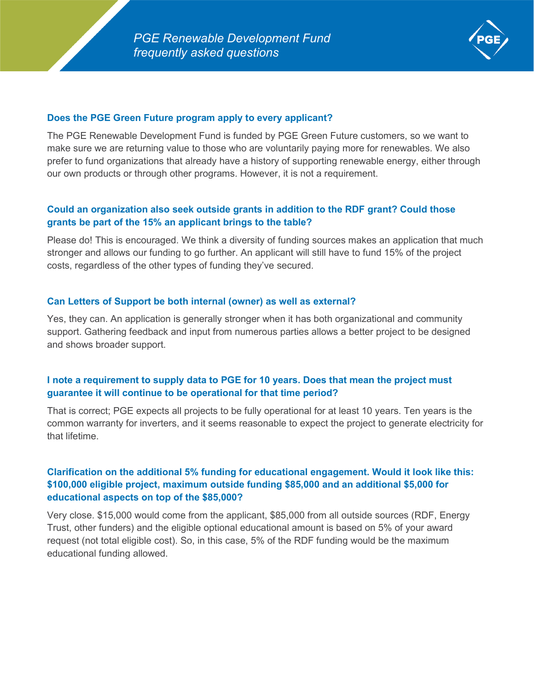

## **Does the PGE Green Future program apply to every applicant?**

The PGE Renewable Development Fund is funded by PGE Green Future customers, so we want to make sure we are returning value to those who are voluntarily paying more for renewables. We also prefer to fund organizations that already have a history of supporting renewable energy, either through our own products or through other programs. However, it is not a requirement.

## **Could an organization also seek outside grants in addition to the RDF grant? Could those grants be part of the 15% an applicant brings to the table?**

Please do! This is encouraged. We think a diversity of funding sources makes an application that much stronger and allows our funding to go further. An applicant will still have to fund 15% of the project costs, regardless of the other types of funding they've secured.

### **Can Letters of Support be both internal (owner) as well as external?**

Yes, they can. An application is generally stronger when it has both organizational and community support. Gathering feedback and input from numerous parties allows a better project to be designed and shows broader support.

# **I note a requirement to supply data to PGE for 10 years. Does that mean the project must guarantee it will continue to be operational for that time period?**

That is correct; PGE expects all projects to be fully operational for at least 10 years. Ten years is the common warranty for inverters, and it seems reasonable to expect the project to generate electricity for that lifetime.

# **Clarification on the additional 5% funding for educational engagement. Would it look like this: \$100,000 eligible project, maximum outside funding \$85,000 and an additional \$5,000 for educational aspects on top of the \$85,000?**

Very close. \$15,000 would come from the applicant, \$85,000 from all outside sources (RDF, Energy Trust, other funders) and the eligible optional educational amount is based on 5% of your award request (not total eligible cost). So, in this case, 5% of the RDF funding would be the maximum educational funding allowed.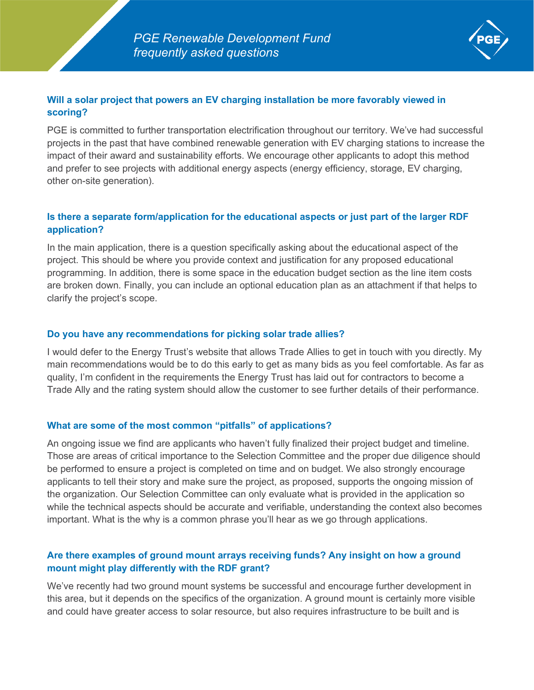

## **Will a solar project that powers an EV charging installation be more favorably viewed in scoring?**

PGE is committed to further transportation electrification throughout our territory. We've had successful projects in the past that have combined renewable generation with EV charging stations to increase the impact of their award and sustainability efforts. We encourage other applicants to adopt this method and prefer to see projects with additional energy aspects (energy efficiency, storage, EV charging, other on-site generation).

## **Is there a separate form/application for the educational aspects or just part of the larger RDF application?**

In the main application, there is a question specifically asking about the educational aspect of the project. This should be where you provide context and justification for any proposed educational programming. In addition, there is some space in the education budget section as the line item costs are broken down. Finally, you can include an optional education plan as an attachment if that helps to clarify the project's scope.

# **Do you have any recommendations for picking solar trade allies?**

I would defer to the Energy Trust's website that allows Trade Allies to get in touch with you directly. My main recommendations would be to do this early to get as many bids as you feel comfortable. As far as quality, I'm confident in the requirements the Energy Trust has laid out for contractors to become a Trade Ally and the rating system should allow the customer to see further details of their performance.

# **What are some of the most common "pitfalls" of applications?**

An ongoing issue we find are applicants who haven't fully finalized their project budget and timeline. Those are areas of critical importance to the Selection Committee and the proper due diligence should be performed to ensure a project is completed on time and on budget. We also strongly encourage applicants to tell their story and make sure the project, as proposed, supports the ongoing mission of the organization. Our Selection Committee can only evaluate what is provided in the application so while the technical aspects should be accurate and verifiable, understanding the context also becomes important. What is the why is a common phrase you'll hear as we go through applications.

# **Are there examples of ground mount arrays receiving funds? Any insight on how a ground mount might play differently with the RDF grant?**

We've recently had two ground mount systems be successful and encourage further development in this area, but it depends on the specifics of the organization. A ground mount is certainly more visible and could have greater access to solar resource, but also requires infrastructure to be built and is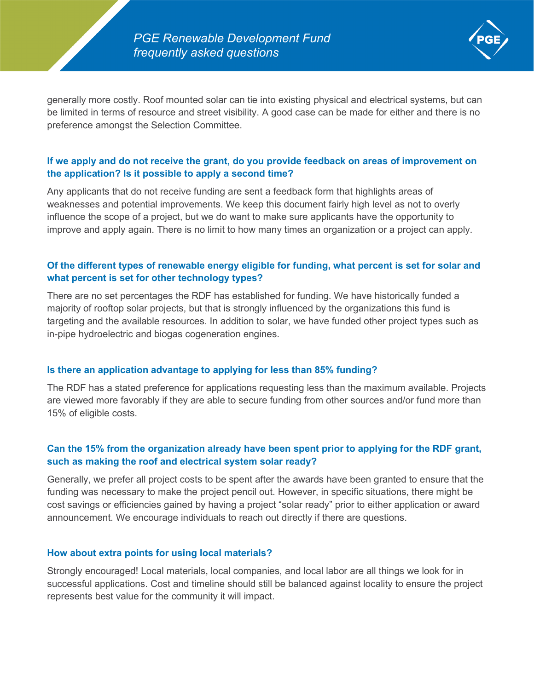

generally more costly. Roof mounted solar can tie into existing physical and electrical systems, but can be limited in terms of resource and street visibility. A good case can be made for either and there is no preference amongst the Selection Committee.

## **If we apply and do not receive the grant, do you provide feedback on areas of improvement on the application? Is it possible to apply a second time?**

Any applicants that do not receive funding are sent a feedback form that highlights areas of weaknesses and potential improvements. We keep this document fairly high level as not to overly influence the scope of a project, but we do want to make sure applicants have the opportunity to improve and apply again. There is no limit to how many times an organization or a project can apply.

# **Of the different types of renewable energy eligible for funding, what percent is set for solar and what percent is set for other technology types?**

There are no set percentages the RDF has established for funding. We have historically funded a majority of rooftop solar projects, but that is strongly influenced by the organizations this fund is targeting and the available resources. In addition to solar, we have funded other project types such as in-pipe hydroelectric and biogas cogeneration engines.

### **Is there an application advantage to applying for less than 85% funding?**

The RDF has a stated preference for applications requesting less than the maximum available. Projects are viewed more favorably if they are able to secure funding from other sources and/or fund more than 15% of eligible costs.

# **Can the 15% from the organization already have been spent prior to applying for the RDF grant, such as making the roof and electrical system solar ready?**

Generally, we prefer all project costs to be spent after the awards have been granted to ensure that the funding was necessary to make the project pencil out. However, in specific situations, there might be cost savings or efficiencies gained by having a project "solar ready" prior to either application or award announcement. We encourage individuals to reach out directly if there are questions.

### **How about extra points for using local materials?**

Strongly encouraged! Local materials, local companies, and local labor are all things we look for in successful applications. Cost and timeline should still be balanced against locality to ensure the project represents best value for the community it will impact.